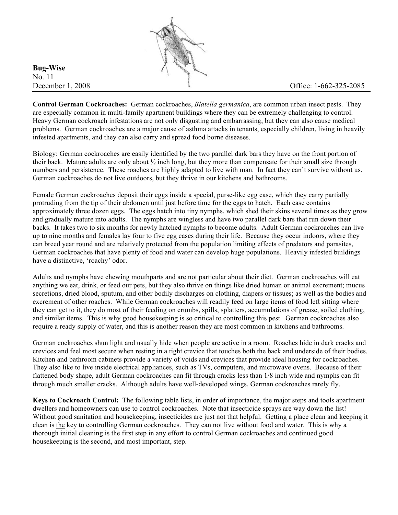

**Bug-Wise**  No. 11

**Control German Cockroaches:** German cockroaches, *Blatella germanica*, are common urban insect pests. They are especially common in multi-family apartment buildings where they can be extremely challenging to control. Heavy German cockroach infestations are not only disgusting and embarrassing, but they can also cause medical problems. German cockroaches are a major cause of asthma attacks in tenants, especially children, living in heavily infested apartments, and they can also carry and spread food borne diseases.

Biology: German cockroaches are easily identified by the two parallel dark bars they have on the front portion of their back. Mature adults are only about  $\frac{1}{2}$  inch long, but they more than compensate for their small size through numbers and persistence. These roaches are highly adapted to live with man. In fact they can't survive without us. German cockroaches do not live outdoors, but they thrive in our kitchens and bathrooms.

Female German cockroaches deposit their eggs inside a special, purse-like egg case, which they carry partially protruding from the tip of their abdomen until just before time for the eggs to hatch. Each case contains approximately three dozen eggs. The eggs hatch into tiny nymphs, which shed their skins several times as they grow and gradually mature into adults. The nymphs are wingless and have two parallel dark bars that run down their backs. It takes two to six months for newly hatched nymphs to become adults. Adult German cockroaches can live up to nine months and females lay four to five egg cases during their life. Because they occur indoors, where they can breed year round and are relatively protected from the population limiting effects of predators and parasites, German cockroaches that have plenty of food and water can develop huge populations. Heavily infested buildings have a distinctive, 'roachy' odor.

Adults and nymphs have chewing mouthparts and are not particular about their diet. German cockroaches will eat anything we eat, drink, or feed our pets, but they also thrive on things like dried human or animal excrement; mucus secretions, dried blood, sputum, and other bodily discharges on clothing, diapers or tissues; as well as the bodies and excrement of other roaches. While German cockroaches will readily feed on large items of food left sitting where they can get to it, they do most of their feeding on crumbs, spills, splatters, accumulations of grease, soiled clothing, and similar items. This is why good housekeeping is so critical to controlling this pest. German cockroaches also require a ready supply of water, and this is another reason they are most common in kitchens and bathrooms.

German cockroaches shun light and usually hide when people are active in a room. Roaches hide in dark cracks and crevices and feel most secure when resting in a tight crevice that touches both the back and underside of their bodies. Kitchen and bathroom cabinets provide a variety of voids and crevices that provide ideal housing for cockroaches. They also like to live inside electrical appliances, such as TVs, computers, and microwave ovens. Because of their flattened body shape, adult German cockroaches can fit through cracks less than 1/8 inch wide and nymphs can fit through much smaller cracks. Although adults have well-developed wings, German cockroaches rarely fly.

**Keys to Cockroach Control:** The following table lists, in order of importance, the major steps and tools apartment dwellers and homeowners can use to control cockroaches. Note that insecticide sprays are way down the list! Without good sanitation and housekeeping, insecticides are just not that helpful. Getting a place clean and keeping it clean is the key to controlling German cockroaches. They can not live without food and water. This is why a thorough initial cleaning is the first step in any effort to control German cockroaches and continued good housekeeping is the second, and most important, step.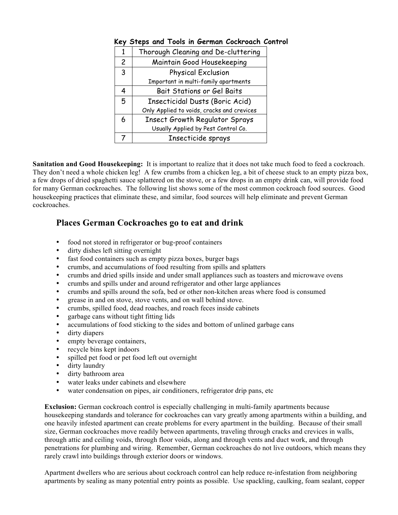| 1              | Thorough Cleaning and De-cluttering        |  |  |
|----------------|--------------------------------------------|--|--|
| $\overline{c}$ | Maintain Good Housekeeping                 |  |  |
| 3              | Physical Exclusion                         |  |  |
|                | Important in multi-family apartments       |  |  |
| 4              | Bait Stations or Gel Baits                 |  |  |
| 5              | Insecticidal Dusts (Boric Acid)            |  |  |
|                | Only Applied to voids, cracks and crevices |  |  |
| 6              | <b>Insect Growth Regulator Sprays</b>      |  |  |
|                | Usually Applied by Pest Control Co.        |  |  |
|                | Insecticide sprays                         |  |  |

## **Key Steps and Tools in German Cockroach Control**

**Sanitation and Good Housekeeping:** It is important to realize that it does not take much food to feed a cockroach. They don't need a whole chicken leg! A few crumbs from a chicken leg, a bit of cheese stuck to an empty pizza box, a few drops of dried spaghetti sauce splattered on the stove, or a few drops in an empty drink can, will provide food for many German cockroaches. The following list shows some of the most common cockroach food sources. Good housekeeping practices that eliminate these, and similar, food sources will help eliminate and prevent German cockroaches.

## **Places German Cockroaches go to eat and drink**

- food not stored in refrigerator or bug-proof containers
- dirty dishes left sitting overnight
- fast food containers such as empty pizza boxes, burger bags
- crumbs, and accumulations of food resulting from spills and splatters
- crumbs and dried spills inside and under small appliances such as toasters and microwave ovens
- crumbs and spills under and around refrigerator and other large appliances
- crumbs and spills around the sofa, bed or other non-kitchen areas where food is consumed
- grease in and on stove, stove vents, and on wall behind stove.
- crumbs, spilled food, dead roaches, and roach feces inside cabinets
- garbage cans without tight fitting lids
- accumulations of food sticking to the sides and bottom of unlined garbage cans
- dirty diapers
- empty beverage containers,
- recycle bins kept indoors
- spilled pet food or pet food left out overnight
- dirty laundry
- dirty bathroom area
- water leaks under cabinets and elsewhere
- water condensation on pipes, air conditioners, refrigerator drip pans, etc.

**Exclusion:** German cockroach control is especially challenging in multi-family apartments because housekeeping standards and tolerance for cockroaches can vary greatly among apartments within a building, and one heavily infested apartment can create problems for every apartment in the building. Because of their small size, German cockroaches move readily between apartments, traveling through cracks and crevices in walls, through attic and ceiling voids, through floor voids, along and through vents and duct work, and through penetrations for plumbing and wiring. Remember, German cockroaches do not live outdoors, which means they rarely crawl into buildings through exterior doors or windows.

Apartment dwellers who are serious about cockroach control can help reduce re-infestation from neighboring apartments by sealing as many potential entry points as possible. Use spackling, caulking, foam sealant, copper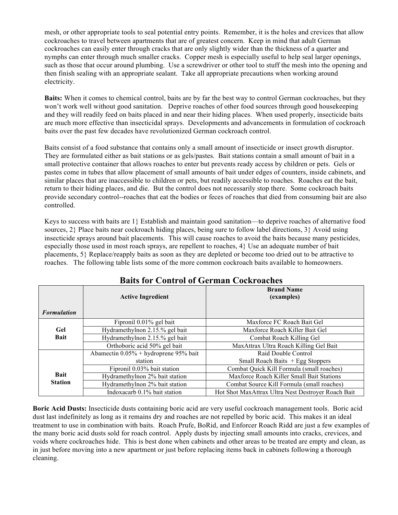mesh, or other appropriate tools to seal potential entry points. Remember, it is the holes and crevices that allow cockroaches to travel between apartments that are of greatest concern. Keep in mind that adult German cockroaches can easily enter through cracks that are only slightly wider than the thickness of a quarter and nymphs can enter through much smaller cracks. Copper mesh is especially useful to help seal larger openings, such as those that occur around plumbing. Use a screwdriver or other tool to stuff the mesh into the opening and then finish sealing with an appropriate sealant. Take all appropriate precautions when working around electricity.

**Baits:** When it comes to chemical control, baits are by far the best way to control German cockroaches, but they won't work well without good sanitation. Deprive roaches of other food sources through good housekeeping and they will readily feed on baits placed in and near their hiding places. When used properly, insecticide baits are much more effective than insecticidal sprays. Developments and advancements in formulation of cockroach baits over the past few decades have revolutionized German cockroach control.

Baits consist of a food substance that contains only a small amount of insecticide or insect growth disruptor. They are formulated either as bait stations or as gels/pastes. Bait stations contain a small amount of bait in a small protective container that allows roaches to enter but prevents ready access by children or pets. Gels or pastes come in tubes that allow placement of small amounts of bait under edges of counters, inside cabinets, and similar places that are inaccessible to children or pets, but readily accessible to roaches. Roaches eat the bait, return to their hiding places, and die. But the control does not necessarily stop there. Some cockroach baits provide secondary control--roaches that eat the bodies or feces of roaches that died from consuming bait are also controlled.

Keys to success with baits are 1} Establish and maintain good sanitation—to deprive roaches of alternative food sources, 2} Place baits near cockroach hiding places, being sure to follow label directions, 3} Avoid using insecticide sprays around bait placements. This will cause roaches to avoid the baits because many pesticides, especially those used in most roach sprays, are repellent to roaches, 4} Use an adequate number of bait placements, 5} Replace/reapply baits as soon as they are depleted or become too dried out to be attractive to roaches. The following table lists some of the more common cockroach baits available to homeowners.

|                               | <b>Active Ingredient</b>              | <b>Brand Name</b><br>(examples)                    |
|-------------------------------|---------------------------------------|----------------------------------------------------|
| <b>Formulation</b>            |                                       |                                                    |
| Gel                           | Fipronil 0.01% gel bait               | Maxforce FC Roach Bait Gel                         |
|                               | Hydramethylnon 2.15.% gel bait        | Maxforce Roach Killer Bait Gel                     |
| <b>Bait</b>                   | Hydramethylnon 2.15.% gel bait        | Combat Roach Killing Gel                           |
|                               | Orthoboric acid 50% gel bait          | MaxAttrax Ultra Roach Killing Gel Bait             |
|                               | Abamectin 0.05% + hydroprene 95% bait | Raid Double Control                                |
| <b>Bait</b><br><b>Station</b> | station                               | Small Roach Baits $+$ Egg Stoppers                 |
|                               | Fipronil 0.03% bait station           | Combat Quick Kill Formula (small roaches)          |
|                               | Hydramethylnon 2% bait station        | Maxforce Roach Killer Small Bait Stations          |
|                               | Hydramethylnon 2% bait station        | Combat Source Kill Formula (small roaches)         |
|                               | Indoxacarb 0.1% bait station          | Hot Shot MaxAttrax Ultra Nest Destroyer Roach Bait |

## **Baits for Control of German Cockroaches**

**Boric Acid Dusts:** Insecticide dusts containing boric acid are very useful cockroach management tools. Boric acid dust last indefinitely as long as it remains dry and roaches are not repelled by boric acid. This makes it an ideal treatment to use in combination with baits. Roach Prufe, BoRid, and Enforcer Roach Ridd are just a few examples of the many boric acid dusts sold for roach control. Apply dusts by injecting small amounts into cracks, crevices, and voids where cockroaches hide. This is best done when cabinets and other areas to be treated are empty and clean, as in just before moving into a new apartment or just before replacing items back in cabinets following a thorough cleaning.